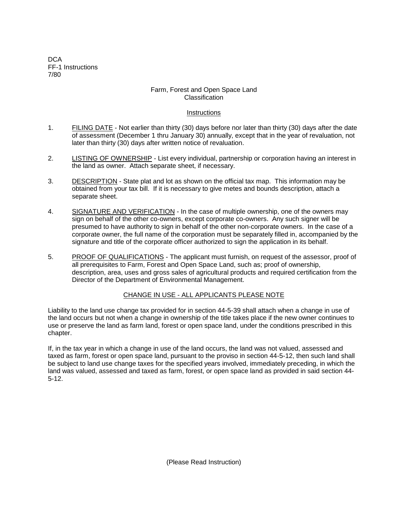**DCA** FF-1 Instructions 7/80

# Farm, Forest and Open Space Land Classification

# **Instructions**

- 1. FILING DATE Not earlier than thirty (30) days before nor later than thirty (30) days after the date of assessment (December 1 thru January 30) annually, except that in the year of revaluation, not later than thirty (30) days after written notice of revaluation.
- 2. LISTING OF OWNERSHIP List every individual, partnership or corporation having an interest in the land as owner. Attach separate sheet, if necessary.
- 3. DESCRIPTION State plat and lot as shown on the official tax map. This information may be obtained from your tax bill. If it is necessary to give metes and bounds description, attach a separate sheet.
- 4. SIGNATURE AND VERIFICATION In the case of multiple ownership, one of the owners may sign on behalf of the other co-owners, except corporate co-owners. Any such signer will be presumed to have authority to sign in behalf of the other non-corporate owners. In the case of a corporate owner, the full name of the corporation must be separately filled in, accompanied by the signature and title of the corporate officer authorized to sign the application in its behalf.
- 5. PROOF OF QUALIFICATIONS The applicant must furnish, on request of the assessor, proof of all prerequisites to Farm, Forest and Open Space Land, such as; proof of ownership, description, area, uses and gross sales of agricultural products and required certification from the Director of the Department of Environmental Management.

# CHANGE IN USE - ALL APPLICANTS PLEASE NOTE

Liability to the land use change tax provided for in section 44-5-39 shall attach when a change in use of the land occurs but not when a change in ownership of the title takes place if the new owner continues to use or preserve the land as farm land, forest or open space land, under the conditions prescribed in this chapter.

If, in the tax year in which a change in use of the land occurs, the land was not valued, assessed and taxed as farm, forest or open space land, pursuant to the proviso in section 44-5-12, then such land shall be subject to land use change taxes for the specified years involved, immediately preceding, in which the land was valued, assessed and taxed as farm, forest, or open space land as provided in said section 44- 5-12.

(Please Read Instruction)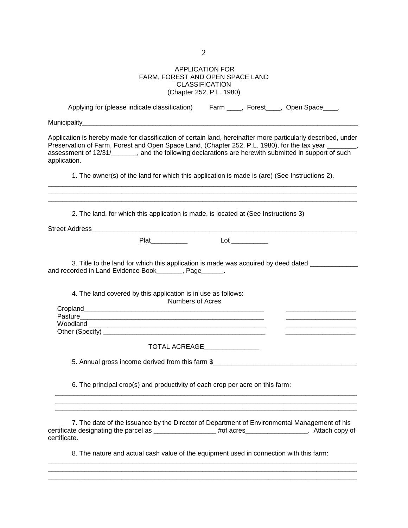2

### APPLICATION FOR FARM, FOREST AND OPEN SPACE LAND CLASSIFICATION (Chapter 252, P.L. 1980)

| Applying for (please indicate classification)                                                                                                                                                                                                                                                                                                   |  | Farm ____, Forest____, Open Space____. |  |
|-------------------------------------------------------------------------------------------------------------------------------------------------------------------------------------------------------------------------------------------------------------------------------------------------------------------------------------------------|--|----------------------------------------|--|
|                                                                                                                                                                                                                                                                                                                                                 |  |                                        |  |
| Application is hereby made for classification of certain land, hereinafter more particularly described, under<br>Preservation of Farm, Forest and Open Space Land, (Chapter 252, P.L. 1980), for the tax year _______,<br>assessment of 12/31/_______, and the following declarations are herewith submitted in support of such<br>application. |  |                                        |  |
| 1. The owner(s) of the land for which this application is made is (are) (See Instructions 2).                                                                                                                                                                                                                                                   |  |                                        |  |
| 2. The land, for which this application is made, is located at (See Instructions 3)                                                                                                                                                                                                                                                             |  |                                        |  |
|                                                                                                                                                                                                                                                                                                                                                 |  |                                        |  |
| Plat                                                                                                                                                                                                                                                                                                                                            |  |                                        |  |
| 3. Title to the land for which this application is made was acquired by deed dated _____________<br>and recorded in Land Evidence Book_______, Page______.                                                                                                                                                                                      |  |                                        |  |
| 4. The land covered by this application is in use as follows:<br>Numbers of Acres                                                                                                                                                                                                                                                               |  |                                        |  |
|                                                                                                                                                                                                                                                                                                                                                 |  |                                        |  |
|                                                                                                                                                                                                                                                                                                                                                 |  |                                        |  |
|                                                                                                                                                                                                                                                                                                                                                 |  |                                        |  |
| TOTAL ACREAGE                                                                                                                                                                                                                                                                                                                                   |  |                                        |  |
| 5. Annual gross income derived from this farm \$_________________________________                                                                                                                                                                                                                                                               |  |                                        |  |
| 6. The principal crop(s) and productivity of each crop per acre on this farm:                                                                                                                                                                                                                                                                   |  |                                        |  |
| 7. The date of the issuance by the Director of Department of Environmental Management of his<br>certificate designating the parcel as _______________#of acres________________. Attach copy of<br>certificate.                                                                                                                                  |  |                                        |  |
| 8. The nature and actual cash value of the equipment used in connection with this farm:                                                                                                                                                                                                                                                         |  |                                        |  |
|                                                                                                                                                                                                                                                                                                                                                 |  |                                        |  |

 $\_$  ,  $\_$  ,  $\_$  ,  $\_$  ,  $\_$  ,  $\_$  ,  $\_$  ,  $\_$  ,  $\_$  ,  $\_$  ,  $\_$  ,  $\_$  ,  $\_$  ,  $\_$  ,  $\_$  ,  $\_$  ,  $\_$  ,  $\_$  ,  $\_$  ,  $\_$  ,  $\_$  ,  $\_$  ,  $\_$  ,  $\_$  ,  $\_$  ,  $\_$  ,  $\_$  ,  $\_$  ,  $\_$  ,  $\_$  ,  $\_$  ,  $\_$  ,  $\_$  ,  $\_$  ,  $\_$  ,  $\_$  ,  $\_$  ,